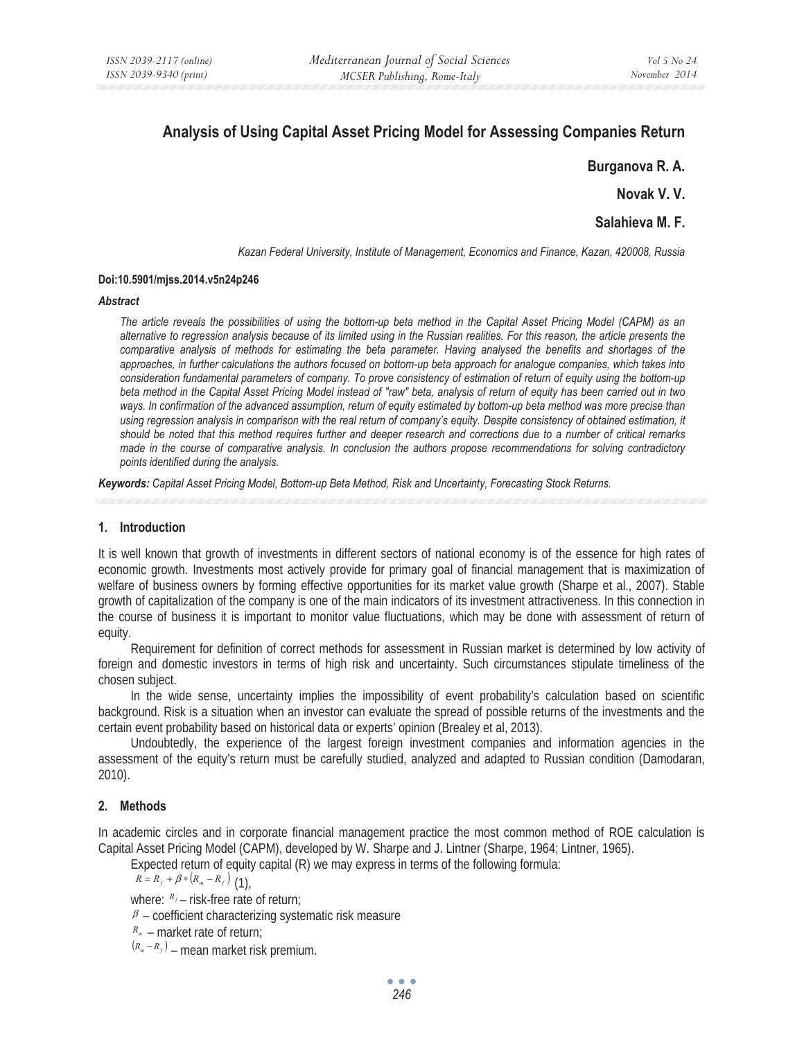# **Analysis of Using Capital Asset Pricing Model for Assessing Companies Return**

**Burganova R. A.** 

**Novak V. V.** 

**Salahieva M. F.**

*Kazan Federal University, Institute of Management, Economics and Finance, Kazan, 420008, Russia* 

## **Doi:10.5901/mjss.2014.v5n24p246**

#### *Abstract*

*The article reveals the possibilities of using the bottom-up beta method in the Capital Asset Pricing Model (CAPM) as an*  alternative to regression analysis because of its limited using in the Russian realities. For this reason, the article presents the comparative analysis of methods for estimating the beta parameter. Having analysed the benefits and shortages of the *approaches, in further calculations the authors focused on bottom-up beta approach for analogue companies, which takes into consideration fundamental parameters of company. To prove consistency of estimation of return of equity using the bottom-up beta method in the Capital Asset Pricing Model instead of "raw" beta, analysis of return of equity has been carried out in two*  ways. In confirmation of the advanced assumption, return of equity estimated by bottom-up beta method was more precise than *using regression analysis in comparison with the real return of company's equity. Despite consistency of obtained estimation, it should be noted that this method requires further and deeper research and corrections due to a number of critical remarks made in the course of comparative analysis. In conclusion the authors propose recommendations for solving contradictory points identified during the analysis.* 

*Keywords: Capital Asset Pricing Model, Bottom-up Beta Method, Risk and Uncertainty, Forecasting Stock Returns.*

## **1. Introduction**

It is well known that growth of investments in different sectors of national economy is of the essence for high rates of economic growth. Investments most actively provide for primary goal of financial management that is maximization of welfare of business owners by forming effective opportunities for its market value growth (Sharpe et al., 2007). Stable growth of capitalization of the company is one of the main indicators of its investment attractiveness. In this connection in the course of business it is important to monitor value fluctuations, which may be done with assessment of return of equity.

Requirement for definition of correct methods for assessment in Russian market is determined by low activity of foreign and domestic investors in terms of high risk and uncertainty. Such circumstances stipulate timeliness of the chosen subject.

In the wide sense, uncertainty implies the impossibility of event probability's calculation based on scientific background. Risk is a situation when an investor can evaluate the spread of possible returns of the investments and the certain event probability based on historical data or experts' opinion (Brealey et al, 2013).

Undoubtedly, the experience of the largest foreign investment companies and information agencies in the assessment of the equity's return must be carefully studied, analyzed and adapted to Russian condition (Damodaran, 2010).

## **2. Methods**

In academic circles and in corporate financial management practice the most common method of ROE calculation is Capital Asset Pricing Model (CAPM), developed by W. Sharpe and J. Lintner (Sharpe, 1964; Lintner, 1965).

Expected return of equity capital (R) we may express in terms of the following formula:

 $R = R_f + \beta * (R_m - R_f)$  (1),

where:  $R_f$  – risk-free rate of return;

 $\beta$  – coefficient characterizing systematic risk measure

– market rate of return; *Rm*

<sup>( $R<sub>m</sub> − R<sub>f</sub>$ ) – mean market risk premium.</sup>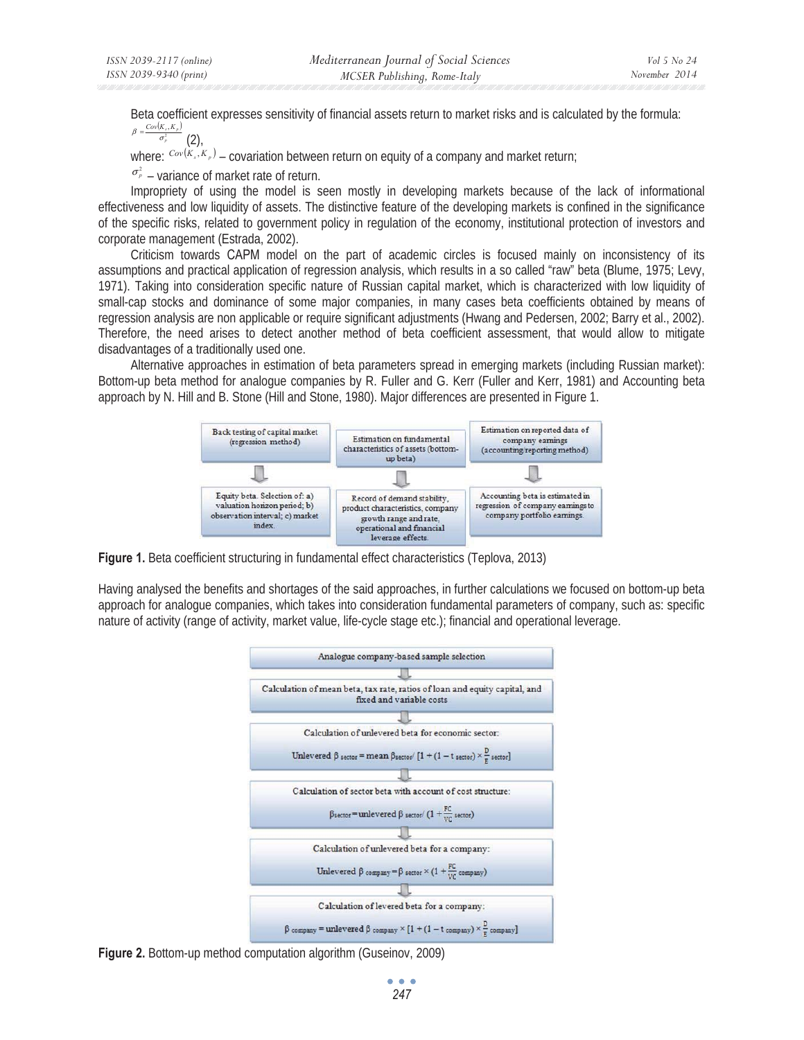Beta coefficient expresses sensitivity of financial assets return to market risks and is calculated by the formula:  $\beta = \frac{Cov(K_s, K_p)}{\sigma_s^2}$ 

 $(2)$ 2 *p*

where:  $^{Cov(K_s, K_p)}$  – covariation between return on equity of a company and market return;

 $\sigma_p^2$  – variance of market rate of return.

Impropriety of using the model is seen mostly in developing markets because of the lack of informational effectiveness and low liquidity of assets. The distinctive feature of the developing markets is confined in the significance of the specific risks, related to government policy in regulation of the economy, institutional protection of investors and corporate management (Estrada, 2002).

Criticism towards CAPM model on the part of academic circles is focused mainly on inconsistency of its assumptions and practical application of regression analysis, which results in a so called "raw" beta (Blume, 1975; Levy, 1971). Taking into consideration specific nature of Russian capital market, which is characterized with low liquidity of small-cap stocks and dominance of some major companies, in many cases beta coefficients obtained by means of regression analysis are non applicable or require significant adjustments (Hwang and Pedersen, 2002; Barry et al., 2002). Therefore, the need arises to detect another method of beta coefficient assessment, that would allow to mitigate disadvantages of a traditionally used one.

Alternative approaches in estimation of beta parameters spread in emerging markets (including Russian market): Bottom-up beta method for analogue companies by R. Fuller and G. Kerr (Fuller and Kerr, 1981) and Accounting beta approach by N. Hill and B. Stone (Hill and Stone, 1980). Major differences are presented in Figure 1.



**Figure 1.** Beta coefficient structuring in fundamental effect characteristics (Teplova, 2013)

Having analysed the benefits and shortages of the said approaches, in further calculations we focused on bottom-up beta approach for analogue companies, which takes into consideration fundamental parameters of company, such as: specific nature of activity (range of activity, market value, life-cycle stage etc.); financial and operational leverage.



**Figure 2.** Bottom-up method computation algorithm (Guseinov, 2009)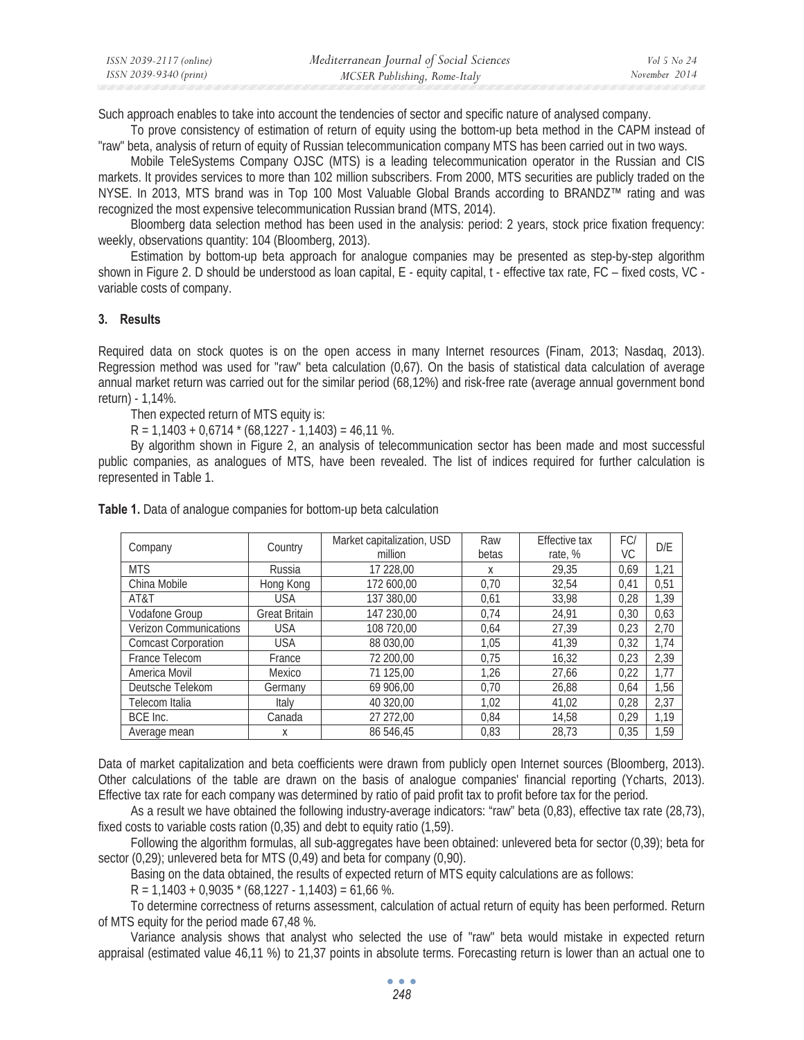| ISSN 2039-2117 (online) | Mediterranean Journal of Social Sciences | Vol 5 No 24   |
|-------------------------|------------------------------------------|---------------|
| ISSN 2039-9340 (print)  | MCSER Publishing, Rome-Italy             | November 2014 |

Such approach enables to take into account the tendencies of sector and specific nature of analysed company.

To prove consistency of estimation of return of equity using the bottom-up beta method in the CAPM instead of "raw" beta, analysis of return of equity of Russian telecommunication company MTS has been carried out in two ways.

Mobile TeleSystems Company OJSC (MTS) is a leading telecommunication operator in the Russian and CIS markets. It provides services to more than 102 million subscribers. From 2000, MTS securities are publicly traded on the NYSE. In 2013, MTS brand was in Top 100 Most Valuable Global Brands according to BRANDZ™ rating and was recognized the most expensive telecommunication Russian brand (MTS, 2014).

Bloomberg data selection method has been used in the analysis: period: 2 years, stock price fixation frequency: weekly, observations quantity: 104 (Bloomberg, 2013).

Estimation by bottom-up beta approach for analogue companies may be presented as step-by-step algorithm shown in Figure 2. D should be understood as loan capital, E - equity capital, t - effective tax rate, FC – fixed costs, VC variable costs of company.

#### **3. Results**

Required data on stock quotes is on the open access in many Internet resources (Finam, 2013; Nasdaq, 2013). Regression method was used for "raw" beta calculation (0,67). On the basis of statistical data calculation of average annual market return was carried out for the similar period (68,12%) and risk-free rate (average annual government bond return) - 1,14%.

Then expected return of MTS equity is:

 $R = 1,1403 + 0,6714 * (68,1227 - 1,1403) = 46.11 %$ .

By algorithm shown in Figure 2, an analysis of telecommunication sector has been made and most successful public companies, as analogues of MTS, have been revealed. The list of indices required for further calculation is represented in Table 1.

| Company                       | Country              | Market capitalization, USD<br>million | Raw<br>betas | Effective tax<br>rate, % | FC/<br>VC | D/E  |
|-------------------------------|----------------------|---------------------------------------|--------------|--------------------------|-----------|------|
| <b>MTS</b>                    | Russia               | 17 228,00                             | x            | 29,35                    | 0.69      | 1,21 |
| China Mobile                  | Hong Kong            | 172 600.00                            | 0.70         | 32,54                    | 0.41      | 0.51 |
| AT&T                          | <b>USA</b>           | 137 380.00                            | 0.61         | 33,98                    | 0.28      | 1.39 |
| Vodafone Group                | <b>Great Britain</b> | 147 230.00                            | 0.74         | 24,91                    | 0.30      | 0,63 |
| <b>Verizon Communications</b> | <b>USA</b>           | 108 720.00                            | 0.64         | 27,39                    | 0.23      | 2.70 |
| <b>Comcast Corporation</b>    | <b>USA</b>           | 88 030,00                             | 1.05         | 41.39                    | 0.32      | 1.74 |
| France Telecom                | France               | 72 200,00                             | 0.75         | 16,32                    | 0.23      | 2,39 |
| America Movil                 | Mexico               | 71 125,00                             | 1,26         | 27,66                    | 0,22      | 1.77 |
| Deutsche Telekom              | Germany              | 69 906.00                             | 0.70         | 26,88                    | 0.64      | 1.56 |
| Telecom Italia                | Italy                | 40 320,00                             | 1,02         | 41,02                    | 0,28      | 2,37 |
| BCE Inc.                      | Canada               | 27 272,00                             | 0.84         | 14,58                    | 0.29      | 1.19 |
| Average mean                  | X                    | 86 546.45                             | 0.83         | 28.73                    | 0.35      | 1.59 |

**Table 1.** Data of analogue companies for bottom-up beta calculation

Data of market capitalization and beta coefficients were drawn from publicly open Internet sources (Bloomberg, 2013). Other calculations of the table are drawn on the basis of analogue companies' financial reporting (Ycharts, 2013). Effective tax rate for each company was determined by ratio of paid profit tax to profit before tax for the period.

As a result we have obtained the following industry-average indicators: "raw" beta (0,83), effective tax rate (28,73), fixed costs to variable costs ration (0,35) and debt to equity ratio (1,59).

Following the algorithm formulas, all sub-aggregates have been obtained: unlevered beta for sector (0,39); beta for sector (0,29); unlevered beta for MTS (0,49) and beta for company (0,90).

Basing on the data obtained, the results of expected return of MTS equity calculations are as follows:

 $R = 1,1403 + 0.9035 * (68,1227 - 1,1403) = 61,66 %$ .

To determine correctness of returns assessment, calculation of actual return of equity has been performed. Return of MTS equity for the period made 67,48 %.

Variance analysis shows that analyst who selected the use of "raw" beta would mistake in expected return appraisal (estimated value 46,11 %) to 21,37 points in absolute terms. Forecasting return is lower than an actual one to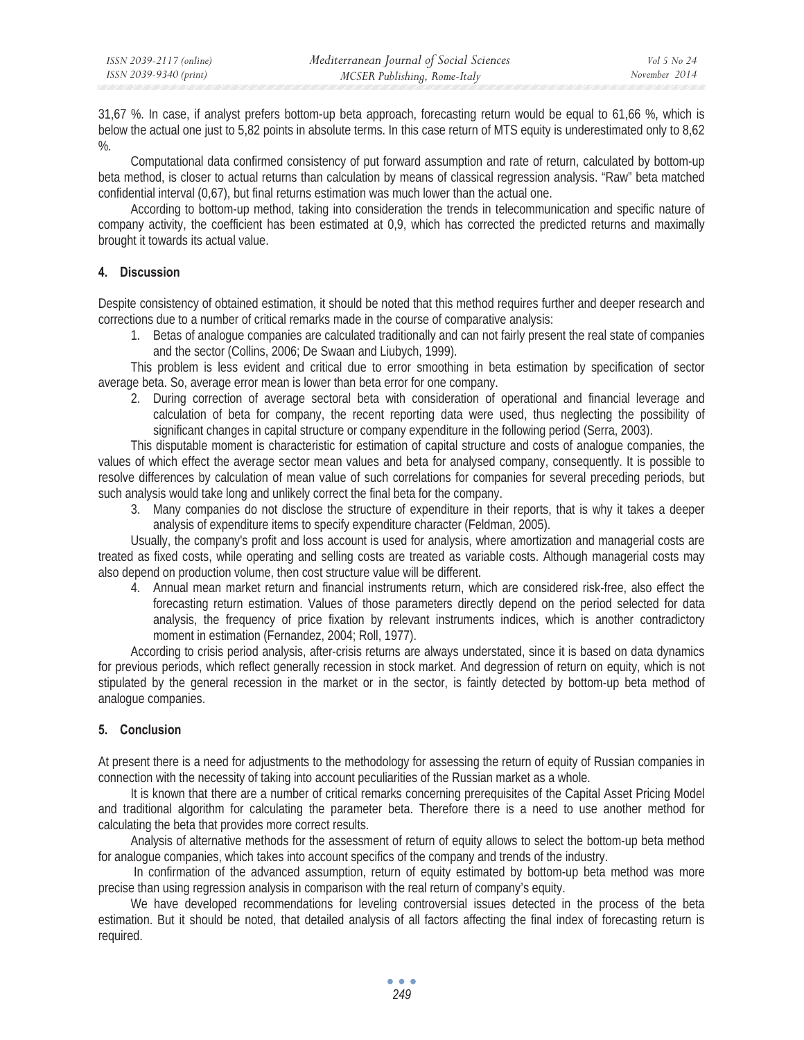31,67 %. In case, if analyst prefers bottom-up beta approach, forecasting return would be equal to 61,66 %, which is below the actual one just to 5,82 points in absolute terms. In this case return of MTS equity is underestimated only to 8,62 %.

Computational data confirmed consistency of put forward assumption and rate of return, calculated by bottom-up beta method, is closer to actual returns than calculation by means of classical regression analysis. "Raw" beta matched confidential interval (0,67), but final returns estimation was much lower than the actual one.

According to bottom-up method, taking into consideration the trends in telecommunication and specific nature of company activity, the coefficient has been estimated at 0,9, which has corrected the predicted returns and maximally brought it towards its actual value.

## **4. Discussion**

Despite consistency of obtained estimation, it should be noted that this method requires further and deeper research and corrections due to a number of critical remarks made in the course of comparative analysis:

1. Betas of analogue companies are calculated traditionally and can not fairly present the real state of companies and the sector (Collins, 2006; De Swaan and Liubych, 1999).

This problem is less evident and critical due to error smoothing in beta estimation by specification of sector average beta. So, average error mean is lower than beta error for one company.

2. During correction of average sectoral beta with consideration of operational and financial leverage and calculation of beta for company, the recent reporting data were used, thus neglecting the possibility of significant changes in capital structure or company expenditure in the following period (Serra, 2003).

This disputable moment is characteristic for estimation of capital structure and costs of analogue companies, the values of which effect the average sector mean values and beta for analysed company, consequently. It is possible to resolve differences by calculation of mean value of such correlations for companies for several preceding periods, but such analysis would take long and unlikely correct the final beta for the company.

3. Many companies do not disclose the structure of expenditure in their reports, that is why it takes a deeper analysis of expenditure items to specify expenditure character (Feldman, 2005).

Usually, the company's profit and loss account is used for analysis, where amortization and managerial costs are treated as fixed costs, while operating and selling costs are treated as variable costs. Although managerial costs may also depend on production volume, then cost structure value will be different.

4. Annual mean market return and financial instruments return, which are considered risk-free, also effect the forecasting return estimation. Values of those parameters directly depend on the period selected for data analysis, the frequency of price fixation by relevant instruments indices, which is another contradictory moment in estimation (Fernandez, 2004; Roll, 1977).

According to crisis period analysis, after-crisis returns are always understated, since it is based on data dynamics for previous periods, which reflect generally recession in stock market. And degression of return on equity, which is not stipulated by the general recession in the market or in the sector, is faintly detected by bottom-up beta method of analogue companies.

## **5. Conclusion**

At present there is a need for adjustments to the methodology for assessing the return of equity of Russian companies in connection with the necessity of taking into account peculiarities of the Russian market as a whole.

It is known that there are a number of critical remarks concerning prerequisites of the Capital Asset Pricing Model and traditional algorithm for calculating the parameter beta. Therefore there is a need to use another method for calculating the beta that provides more correct results.

Analysis of alternative methods for the assessment of return of equity allows to select the bottom-up beta method for analogue companies, which takes into account specifics of the company and trends of the industry.

 In confirmation of the advanced assumption, return of equity estimated by bottom-up beta method was more precise than using regression analysis in comparison with the real return of company's equity.

We have developed recommendations for leveling controversial issues detected in the process of the beta estimation. But it should be noted, that detailed analysis of all factors affecting the final index of forecasting return is required.